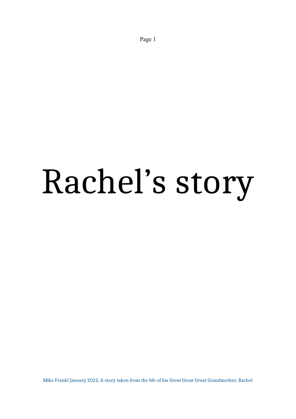# Rachel's story

Mike Frankl January 2022, A story taken from the life of his Great Great Great Grandmother, Rachel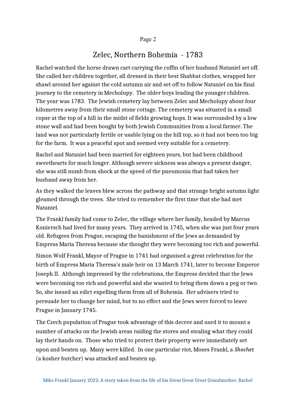# Zelec, Northern Bohemia - 1783

Rachel watched the horse drawn cart carrying the coffin of her husband Nataniel set off. She called her children together, all dressed in their best Shabbat clothes, wrapped her shawl around her against the cold autumn air and set off to follow Nataniel on his final journey to the cemetery in Mecholupy. The older boys leading the younger children. The year was 1783. The Jewish cemetery lay between Zelec and Mecholupy about four kilometres away from their small stone cottage. The cemetery was situated in a small copse at the top of a hill in the midst of fields growing hops. It was surrounded by a low stone wall and had been bought by both Jewish Communities from a local farmer. The land was not particularly fertile or usable lying on the hill top, so it had not been too big for the farm. It was a peaceful spot and seemed very suitable for a cemetery.

Rachel and Nataniel had been married for eighteen years, but had been childhood sweethearts for much longer. Although severe sickness was always a present danger, she was still numb from shock at the speed of the pneumonia that had taken her husband away from her.

As they walked the leaves blew across the pathway and that strange bright autumn light gleamed through the trees. She tried to remember the first time that she had met Nataniel.

The Frankl family had come to Zelec, the village where her family, headed by Marcus Koniersch had lived for many years. They arrived in 1745, when she was just four years old. Refugees from Prague, escaping the banishment of the Jews as demanded by Empress Maria Theresa because she thought they were becoming too rich and powerful.

Simon Wolf Frankl, Mayor of Prague in 1741 had organised a great celebration for the birth of Empress Maria Theresa's male heir on 13 March 1741, later to become Emperor Joseph II. Although impressed by the celebrations, the Empress decided that the Jews were becoming too rich and powerful and she wanted to bring them down a peg or two. So, she issued an edict expelling them from all of Bohemia. Her advisers tried to persuade her to change her mind, but to no effect and the Jews were forced to leave Prague in January 1745.

The Czech population of Prague took advantage of this decree and used it to mount a number of attacks on the Jewish areas raiding the stores and stealing what they could lay their hands on. Those who tried to protect their property were immediately set upon and beaten up. Many were killed. In one particular riot, Moses Frankl, a *Shochet* (a kosher butcher) was attacked and beaten up.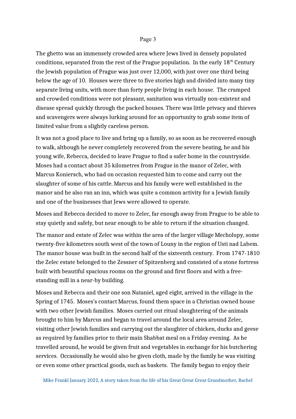The ghetto was an immensely crowded area where Jews lived in densely populated conditions, separated from the rest of the Prague population. In the early  $18<sup>th</sup>$  Century the Jewish population of Prague was just over 12,000, with just over one third being below the age of 10. Houses were three to five stories high and divided into many tiny separate living units, with more than forty people living in each house. The cramped and crowded conditions were not pleasant, sanitation was virtually non-existent and disease spread quickly through the packed houses. There was little privacy and thieves and scavengers were always lurking around for an opportunity to grab some item of limited value from a slightly careless person.

It was not a good place to live and bring up a family, so as soon as he recovered enough to walk, although he never completely recovered from the severe beating, he and his young wife, Rebecca, decided to leave Prague to find a safer home in the countryside. Moses had a contact about 35 kilometres from Prague in the manor of Zelec, with Marcus Koniersch, who had on occasion requested him to come and carry out the slaughter of some of his cattle. Marcus and his family were well established in the manor and he also ran an inn, which was quite a common activity for a Jewish family and one of the businesses that Jews were allowed to operate.

Moses and Rebecca decided to move to Zelec, far enough away from Prague to be able to stay quietly and safely, but near enough to be able to return if the situation changed.

The manor and estate of Zelec was within the area of the larger village Mecholupy, some twenty-five kilometres south west of the town of Louny in the region of Usti nad Labem. The manor house was built in the second half of the sixteenth century. From 1747-1810 the Zelec estate belonged to the Zessner of Spitzenberg and consisted of a stone fortress built with beautiful spacious rooms on the ground and first floors and with a freestanding mill in a near-by building.

Moses and Rebecca and their one son Nataniel, aged eight, arrived in the village in the Spring of 1745. Moses's contact Marcus, found them space in a Christian owned house with two other Jewish families. Moses carried out ritual slaughtering of the animals brought to him by Marcus and began to travel around the local area around Zelec, visiting other Jewish families and carrying out the slaughter of chicken, ducks and geese as required by families prior to their main Shabbat meal on a Friday evening. As he travelled around, he would be given fruit and vegetables in exchange for his butchering services. Occasionally he would also be given cloth, made by the family he was visiting or even some other practical goods, such as baskets. The family began to enjoy their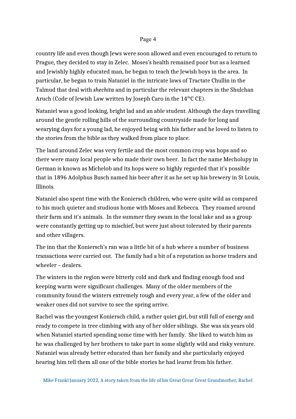country life and even though Jews were soon allowed and even encouraged to return to Prague, they decided to stay in Zelec. Moses's health remained poor but as a learned and Jewishly highly educated man, he began to teach the Jewish boys in the area. In particular, he began to train Nataniel in the intricate laws of Tractate Chullin in the Talmud that deal with *shechita* and in particular the relevant chapters in the Shulchan Aruch (Code of Jewish Law written by Joseph Caro in the  $14<sup>th</sup>C$  CE).

Nataniel was a good looking, bright lad and an able student. Although the days travelling around the gentle rolling hills of the surrounding countryside made for long and wearying days for a young lad, he enjoyed being with his father and he loved to listen to the stories from the bible as they walked from place to place.

The land around Zelec was very fertile and the most common crop was hops and so there were many local people who made their own beer. In fact the name Mecholupy in German is known as Michelob and its hops were so highly regarded that it's possible that in 1896 Adolphus Busch named his beer after it as he set up his brewery in St Louis, Illinois.

Nataniel also spent time with the Koniersch children, who were quite wild as compared to his much quieter and studious home with Moses and Rebecca. They roamed around their farm and it's animals. In the summer they swam in the local lake and as a group were constantly getting up to mischief, but were just about tolerated by their parents and other villagers.

The inn that the Koniersch's ran was a little bit of a hub where a number of business transactions were carried out. The family had a bit of a reputation as horse traders and wheeler – dealers.

The winters in the region were bitterly cold and dark and finding enough food and keeping warm were significant challenges. Many of the older members of the community found the winters extremely tough and every year, a few of the older and weaker ones did not survive to see the spring arrive.

Rachel was the youngest Koniersch child, a rather quiet girl, but still full of energy and ready to compete in tree climbing with any of her older siblings. She was six years old when Nataniel started spending some time with her family. She liked to watch him as he was challenged by her brothers to take part in some slightly wild and risky venture. Nataniel was already better educated than her family and she particularly enjoyed hearing him tell them all one of the bible stories he had learnt from his father.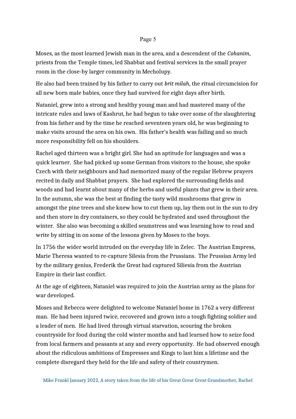Moses, as the most learned Jewish man in the area, and a descendent of the *Cohanim*, priests from the Temple times, led Shabbat and festival services in the small prayer room in the close-by larger community in Mecholupy.

He also had been trained by his father to carry out *brit milah*, the ritual circumcision for all new born male babies, once they had survived for eight days after birth.

Nataniel, grew into a strong and healthy young man and had mastered many of the intricate rules and laws of Kashrut, he had begun to take over some of the slaughtering from his father and by the time he reached seventeen years old, he was beginning to make visits around the area on his own. His father's health was failing and so much more responsibility fell on his shoulders.

Rachel aged thirteen was a bright girl. She had an aptitude for languages and was a quick learner. She had picked up some German from visitors to the house, she spoke Czech with their neighbours and had memorized many of the regular Hebrew prayers recited in daily and Shabbat prayers. She had explored the surrounding fields and woods and had learnt about many of the herbs and useful plants that grew in their area. In the autumn, she was the best at finding the tasty wild mushrooms that grew in amongst the pine trees and she knew how to cut them up, lay them out in the sun to dry and then store in dry containers, so they could be hydrated and used throughout the winter. She also was becoming a skilled seamstress and was learning how to read and write by sitting in on some of the lessons given by Moses to the boys.

In 1756 the wider world intruded on the everyday life in Zelec. The Austrian Empress, Marie Theresa wanted to re-capture Silesia from the Prussians. The Prussian Army led by the military genius, Frederik the Great had captured Siliesia from the Austrian Empire in their last conflict.

At the age of eighteen, Nataniel was required to join the Austrian army as the plans for war developed.

Moses and Rebecca were delighted to welcome Nataniel home in 1762 a very different man. He had been injured twice, recovered and grown into a tough fighting soldier and a leader of men. He had lived through virtual starvation, scouring the broken countryside for food during the cold winter months and had learned how to seize food from local farmers and peasants at any and every opportunity. He had observed enough about the ridiculous ambitions of Empresses and Kings to last him a lifetime and the complete disregard they held for the life and safety of their countrymen.

Mike Frankl January 2022, A story taken from the life of his Great Great Great Grandmother, Rachel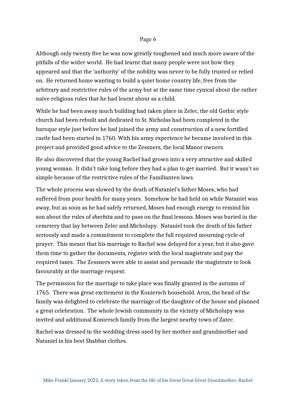Although only twenty five he was now greatly toughened and much more aware of the pitfalls of the wider world. He had learnt that many people were not how they appeared and that the 'authority' of the nobility was never to be fully trusted or relied on. He returned home wanting to build a quiet home country life, free from the arbitrary and restrictive rules of the army but at the same time cynical about the rather naïve religious rules that he had learnt about as a child.

While he had been away much building had taken place in Zelec, the old Gothic style church had been rebuilt and dedicated to St. Nicholas had been completed in the baroque style just before he had joined the army and construction of a new fortified castle had been started in 1760. With his army experience he became involved in this project and provided good advice to the Zessners, the local Manor owners.

He also discovered that the young Rachel had grown into a very attractive and skilled young woman. It didn't take long before they had a plan to get married. But it wasn't so simple because of the restrictive rules of the Familianten laws.

The whole process was slowed by the death of Nataniel's father Moses, who had suffered from poor health for many years. Somehow he had held on while Nataniel was away, but as soon as he had safely returned, Moses had enough energy to remind his son about the rules of *shechita* and to pass on the final lessons. Moses was buried in the cemetery that lay between Zelec and Micholupy. Nataniel took the death of his father seriously and made a commitment to complete the full required mourning cycle of prayer. This meant that his marriage to Rachel was delayed for a year, but it also gave them time to gather the documents, register with the local magistrate and pay the required taxes. The Zessners were able to assist and persuade the magistrate to look favourably at the marriage request.

The permission for the marriage to take place was finally granted in the autumn of 1765. There was great excitement in the Koniersch household. Aron, the head of the family was delighted to celebrate the marriage of the daughter of the house and planned a great celebration. The whole Jewish community in the vicinity of Micholupy was invited and additional Koniersch family from the largest nearby town of Zatec.

Rachel was dressed in the wedding dress used by her mother and grandmother and Nataniel in his best Shabbat clothes.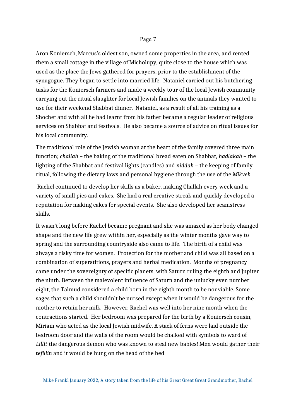Aron Koniersch, Marcus's oldest son, owned some properties in the area, and rented them a small cottage in the village of Micholupy, quite close to the house which was used as the place the Jews gathered for prayers, prior to the establishment of the synagogue. They began to settle into married life. Nataniel carried out his butchering tasks for the Koniersch farmers and made a weekly tour of the local Jewish community carrying out the ritual slaughter for local Jewish families on the animals they wanted to use for their weekend Shabbat dinner. Nataniel, as a result of all his training as a Shochet and with all he had learnt from his father became a regular leader of religious services on Shabbat and festivals. He also became a source of advice on ritual issues for his local community.

The traditional role of the Jewish woman at the heart of the family covered three main function; *challah* – the baking of the traditional bread eaten on Shabbat, *hadlakah* – the lighting of the Shabbat and festival lights (candles) and *niddah* – the keeping of family ritual, following the dietary laws and personal hygiene through the use of the *Mikveh*

 Rachel continued to develop her skills as a baker, making Challah every week and a variety of small pies and cakes. She had a real creative streak and quickly developed a reputation for making cakes for special events. She also developed her seamstress skills.

It wasn't long before Rachel became pregnant and she was amazed as her body changed shape and the new life grew within her, especially as the winter months gave way to spring and the surrounding countryside also came to life. The birth of a child was always a risky time for women. Protection for the mother and child was all based on a combination of superstitions, prayers and herbal medication. Months of pregnancy came under the sovereignty of specific planets, with Saturn ruling the eighth and Jupiter the ninth. Between the malevolent influence of Saturn and the unlucky even number eight, the Talmud considered a child born in the eighth month to be nonviable. Some sages that such a child shouldn't be nursed except when it would be dangerous for the mother to retain her milk. However, Rachel was well into her nine month when the contractions started. Her bedroom was prepared for the birth by a Koniersch cousin, Miriam who acted as the local Jewish midwife. A stack of ferns were laid outside the bedroom door and the walls of the room would be chalked with symbols to ward of *Lillit* the dangerous demon who was known to steal new babies! Men would gather their *tefillin* and it would be hung on the head of the bed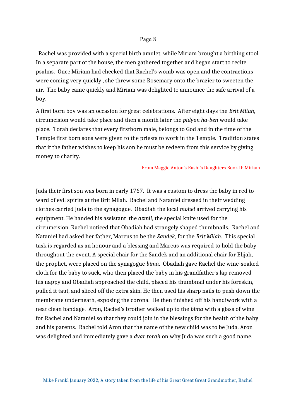Rachel was provided with a special birth amulet, while Miriam brought a birthing stool. In a separate part of the house, the men gathered together and began start to recite psalms. Once Miriam had checked that Rachel's womb was open and the contractions were coming very quickly , she threw some Rosemary onto the brazier to sweeten the air. The baby came quickly and Miriam was delighted to announce the safe arrival of a boy.

A first born boy was an occasion for great celebrations. After eight days the *Brit Milah*, circumcision would take place and then a month later the *pidyon ha-ben* would take place. Torah declares that every firstborn male, belongs to God and in the time of the Temple first born sons were given to the priests to work in the Temple. Tradition states that if the father wishes to keep his son he must be redeem from this service by giving money to charity.

### From Maggie Anton's Rashi's Daughters Book II: Miriam

Juda their first son was born in early 1767. It was a custom to dress the baby in red to ward of evil spirits at the Brit Milah. Rachel and Nataniel dressed in their wedding clothes carried Juda to the synagogue. Obadiah the local *mohel* arrived carrying his equipment. He handed his assistant the *azmil*, the special knife used for the circumcision. Rachel noticed that Obadiah had strangely shaped thumbnails. Rachel and Nataniel had asked her father, Marcus to be the *Sandek*, for the *Brit Milah*. This special task is regarded as an honour and a blessing and Marcus was required to hold the baby throughout the event. A special chair for the Sandek and an additional chair for Elijah, the prophet, were placed on the synagogue *bima*. Obadiah gave Rachel the wine-soaked cloth for the baby to suck, who then placed the baby in his grandfather's lap removed his nappy and Obadiah approached the child, placed his thumbnail under his foreskin, pulled it taut, and sliced off the extra skin. He then used his sharp nails to push down the membrane underneath, exposing the corona. He then finished off his handiwork with a neat clean bandage. Aron, Rachel's brother walked up to the *bima* with a glass of wine for Rachel and Nataniel so that they could join in the blessings for the health of the baby and his parents. Rachel told Aron that the name of the new child was to be Juda. Aron was delighted and immediately gave a *dvar torah* on why Juda was such a good name.